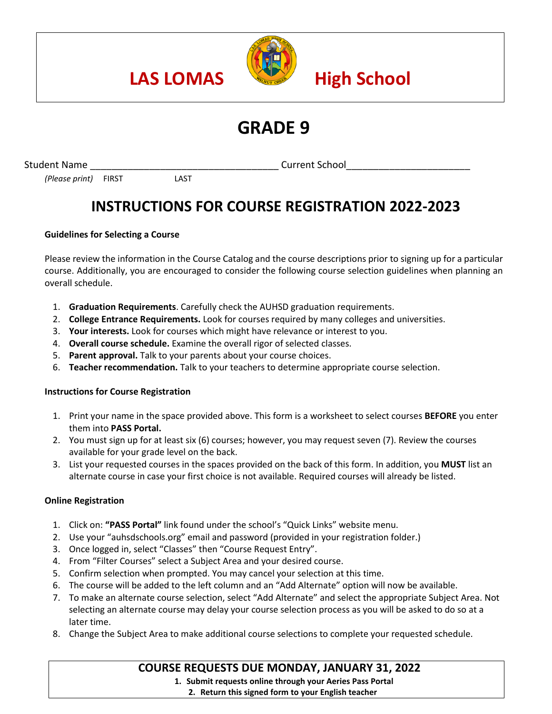

# **GRADE 9**

Student Name and the student Name of the student School current School and the student Name of the School and the School

# *(Please print)* FIRST LAST

# **INSTRUCTIONS FOR COURSE REGISTRATION 2022-2023**

# **Guidelines for Selecting a Course**

Please review the information in the Course Catalog and the course descriptions prior to signing up for a particular course. Additionally, you are encouraged to consider the following course selection guidelines when planning an overall schedule.

- 1. **Graduation Requirements**. Carefully check the AUHSD graduation requirements.
- 2. **College Entrance Requirements.** Look for courses required by many colleges and universities.
- 3. **Your interests.** Look for courses which might have relevance or interest to you.
- 4. **Overall course schedule.** Examine the overall rigor of selected classes.
- 5. **Parent approval.** Talk to your parents about your course choices.
- 6. **Teacher recommendation.** Talk to your teachers to determine appropriate course selection.

## **Instructions for Course Registration**

- 1. Print your name in the space provided above. This form is a worksheet to select courses **BEFORE** you enter them into **PASS Portal.**
- 2. You must sign up for at least six (6) courses; however, you may request seven (7). Review the courses available for your grade level on the back.
- 3. List your requested courses in the spaces provided on the back of this form. In addition, you **MUST** list an alternate course in case your first choice is not available. Required courses will already be listed.

## **Online Registration**

- 1. Click on: **"PASS Portal"** link found under the school's "Quick Links" website menu.
- 2. Use your "auhsdschools.org" email and password (provided in your registration folder.)
- 3. Once logged in, select "Classes" then "Course Request Entry".
- 4. From "Filter Courses" select a Subject Area and your desired course.
- 5. Confirm selection when prompted. You may cancel your selection at this time.
- 6. The course will be added to the left column and an "Add Alternate" option will now be available.
- 7. To make an alternate course selection, select "Add Alternate" and select the appropriate Subject Area. Not selecting an alternate course may delay your course selection process as you will be asked to do so at a later time.
- 8. Change the Subject Area to make additional course selections to complete your requested schedule.

# **COURSE REQUESTS DUE MONDAY, JANUARY 31, 2022**

**1. Submit requests online through your Aeries Pass Portal**

**2. Return this signed form to your English teacher**